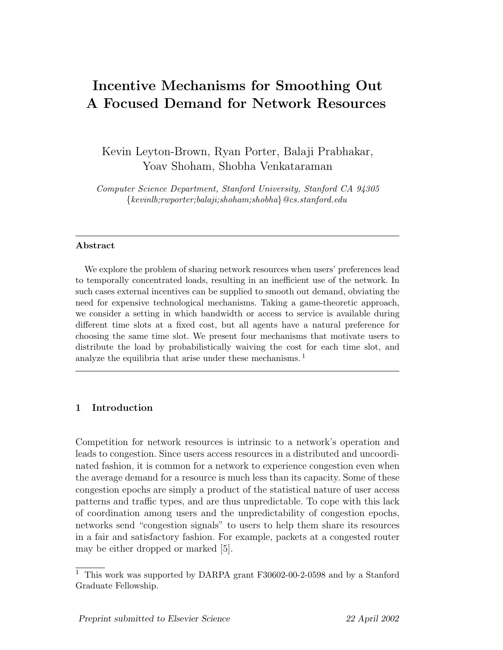# **Incentive Mechanisms for Smoothing Out A Focused Demand for Network Resources**

Kevin Leyton-Brown, Ryan Porter, Balaji Prabhakar, Yoav Shoham, Shobha Venkataraman

*Computer Science Department, Stanford University, Stanford CA 94305* {*kevinlb;rwporter;balaji;shoham;shobha*}*@cs.stanford.edu*

# **Abstract**

We explore the problem of sharing network resources when users' preferences lead to temporally concentrated loads, resulting in an inefficient use of the network. In such cases external incentives can be supplied to smooth out demand, obviating the need for expensive technological mechanisms. Taking a game-theoretic approach, we consider a setting in which bandwidth or access to service is available during different time slots at a fixed cost, but all agents have a natural preference for choosing the same time slot. We present four mechanisms that motivate users to distribute the load by probabilistically waiving the cost for each time slot, and analyze the equilibria that arise under these mechanisms.<sup>1</sup>

# **1 Introduction**

Competition for network resources is intrinsic to a network's operation and leads to congestion. Since users access resources in a distributed and uncoordinated fashion, it is common for a network to experience congestion even when the average demand for a resource is much less than its capacity. Some of these congestion epochs are simply a product of the statistical nature of user access patterns and traffic types, and are thus unpredictable. To cope with this lack of coordination among users and the unpredictability of congestion epochs, networks send "congestion signals" to users to help them share its resources in a fair and satisfactory fashion. For example, packets at a congested router may be either dropped or marked [5].

 $\overline{1}$  This work was supported by DARPA grant F30602-00-2-0598 and by a Stanford Graduate Fellowship.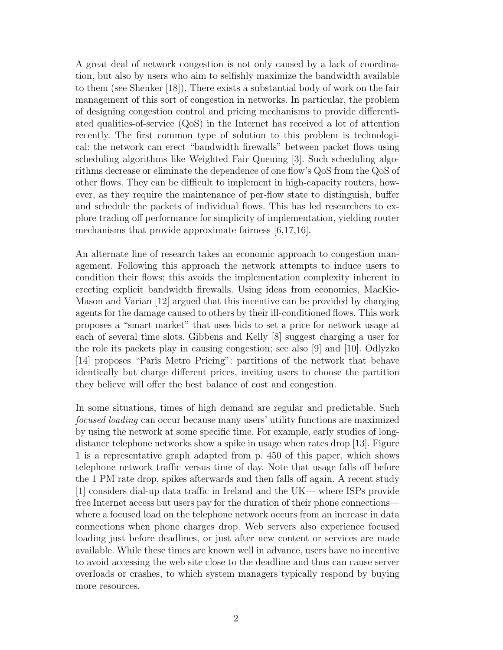A great deal of network congestion is not only caused by a lack of coordination, but also by users who aim to selfishly maximize the bandwidth available to them (see Shenker [18]). There exists a substantial body of work on the fair management of this sort of congestion in networks. In particular, the problem of designing congestion control and pricing mechanisms to provide differentiated qualities-of-service (QoS) in the Internet has received a lot of attention recently. The first common type of solution to this problem is technological: the network can erect "bandwidth firewalls" between packet flows using scheduling algorithms like Weighted Fair Queuing [3]. Such scheduling algorithms decrease or eliminate the dependence of one flow's QoS from the QoS of other flows. They can be difficult to implement in high-capacity routers, however, as they require the maintenance of per-flow state to distinguish, buffer and schedule the packets of individual flows. This has led researchers to explore trading off performance for simplicity of implementation, yielding router mechanisms that provide approximate fairness [6,17,16].

An alternate line of research takes an economic approach to congestion management. Following this approach the network attempts to induce users to condition their flows; this avoids the implementation complexity inherent in erecting explicit bandwidth firewalls. Using ideas from economics, MacKie-Mason and Varian [12] argued that this incentive can be provided by charging agents for the damage caused to others by their ill-conditioned flows. This work proposes a "smart market" that uses bids to set a price for network usage at each of several time slots. Gibbens and Kelly [8] suggest charging a user for the role its packets play in causing congestion; see also [9] and [10]. Odlyzko [14] proposes "Paris Metro Pricing": partitions of the network that behave identically but charge different prices, inviting users to choose the partition they believe will offer the best balance of cost and congestion.

In some situations, times of high demand are regular and predictable. Such *focused loading* can occur because many users' utility functions are maximized by using the network at some specific time. For example, early studies of longdistance telephone networks show a spike in usage when rates drop [13]. Figure 1 is a representative graph adapted from p. 450 of this paper, which shows telephone network traffic versus time of day. Note that usage falls off before the 1 PM rate drop, spikes afterwards and then falls off again. A recent study [1] considers dial-up data traffic in Ireland and the UK— where ISPs provide free Internet access but users pay for the duration of their phone connections where a focused load on the telephone network occurs from an increase in data connections when phone charges drop. Web servers also experience focused loading just before deadlines, or just after new content or services are made available. While these times are known well in advance, users have no incentive to avoid accessing the web site close to the deadline and thus can cause server overloads or crashes, to which system managers typically respond by buying more resources.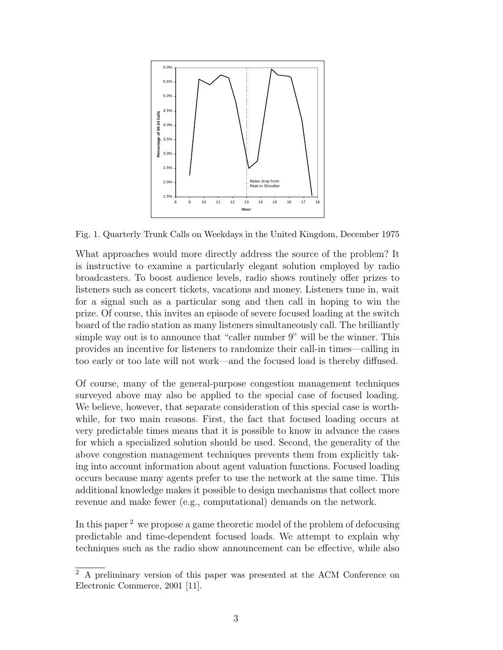

Fig. 1. Quarterly Trunk Calls on Weekdays in the United Kingdom, December 1975

What approaches would more directly address the source of the problem? It is instructive to examine a particularly elegant solution employed by radio broadcasters. To boost audience levels, radio shows routinely offer prizes to listeners such as concert tickets, vacations and money. Listeners tune in, wait for a signal such as a particular song and then call in hoping to win the prize. Of course, this invites an episode of severe focused loading at the switch board of the radio station as many listeners simultaneously call. The brilliantly simple way out is to announce that "caller number 9" will be the winner. This provides an incentive for listeners to randomize their call-in times—calling in too early or too late will not work—and the focused load is thereby diffused.

Of course, many of the general-purpose congestion management techniques surveyed above may also be applied to the special case of focused loading. We believe, however, that separate consideration of this special case is worthwhile, for two main reasons. First, the fact that focused loading occurs at very predictable times means that it is possible to know in advance the cases for which a specialized solution should be used. Second, the generality of the above congestion management techniques prevents them from explicitly taking into account information about agent valuation functions. Focused loading occurs because many agents prefer to use the network at the same time. This additional knowledge makes it possible to design mechanisms that collect more revenue and make fewer (e.g., computational) demands on the network.

In this paper  $2$  we propose a game theoretic model of the problem of defocusing predictable and time-dependent focused loads. We attempt to explain why techniques such as the radio show announcement can be effective, while also

<sup>2</sup> A preliminary version of this paper was presented at the ACM Conference on Electronic Commerce, 2001 [11].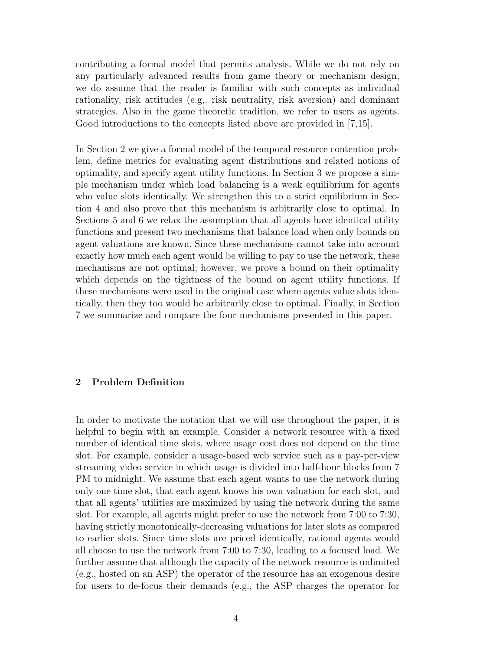contributing a formal model that permits analysis. While we do not rely on any particularly advanced results from game theory or mechanism design, we do assume that the reader is familiar with such concepts as individual rationality, risk attitudes (e.g,. risk neutrality, risk aversion) and dominant strategies. Also in the game theoretic tradition, we refer to users as agents. Good introductions to the concepts listed above are provided in [7,15].

In Section 2 we give a formal model of the temporal resource contention problem, define metrics for evaluating agent distributions and related notions of optimality, and specify agent utility functions. In Section 3 we propose a simple mechanism under which load balancing is a weak equilibrium for agents who value slots identically. We strengthen this to a strict equilibrium in Section 4 and also prove that this mechanism is arbitrarily close to optimal. In Sections 5 and 6 we relax the assumption that all agents have identical utility functions and present two mechanisms that balance load when only bounds on agent valuations are known. Since these mechanisms cannot take into account exactly how much each agent would be willing to pay to use the network, these mechanisms are not optimal; however, we prove a bound on their optimality which depends on the tightness of the bound on agent utility functions. If these mechanisms were used in the original case where agents value slots identically, then they too would be arbitrarily close to optimal. Finally, in Section 7 we summarize and compare the four mechanisms presented in this paper.

## **2 Problem Definition**

In order to motivate the notation that we will use throughout the paper, it is helpful to begin with an example. Consider a network resource with a fixed number of identical time slots, where usage cost does not depend on the time slot. For example, consider a usage-based web service such as a pay-per-view streaming video service in which usage is divided into half-hour blocks from 7 PM to midnight. We assume that each agent wants to use the network during only one time slot, that each agent knows his own valuation for each slot, and that all agents' utilities are maximized by using the network during the same slot. For example, all agents might prefer to use the network from 7:00 to 7:30, having strictly monotonically-decreasing valuations for later slots as compared to earlier slots. Since time slots are priced identically, rational agents would all choose to use the network from 7:00 to 7:30, leading to a focused load. We further assume that although the capacity of the network resource is unlimited (e.g., hosted on an ASP) the operator of the resource has an exogenous desire for users to de-focus their demands (e.g., the ASP charges the operator for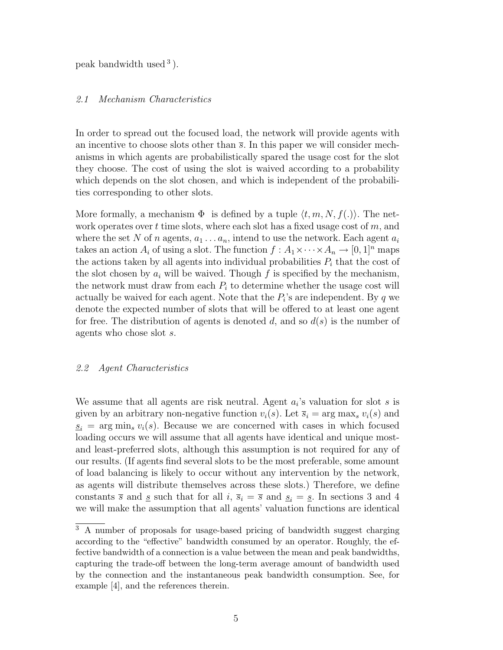peak bandwidth used  $3$ ).

### *2.1 Mechanism Characteristics*

In order to spread out the focused load, the network will provide agents with an incentive to choose slots other than  $\overline{s}$ . In this paper we will consider mechanisms in which agents are probabilistically spared the usage cost for the slot they choose. The cost of using the slot is waived according to a probability which depends on the slot chosen, and which is independent of the probabilities corresponding to other slots.

More formally, a mechanism  $\Phi$  is defined by a tuple  $\langle t, m, N, f(.) \rangle$ . The network operates over t time slots, where each slot has a fixed usage cost of  $m$ , and where the set N of n agents,  $a_1 \ldots a_n$ , intend to use the network. Each agent  $a_i$ takes an action  $A_i$  of using a slot. The function  $f : A_1 \times \cdots \times A_n \to [0, 1]^n$  maps the actions taken by all agents into individual probabilities  $P_i$  that the cost of the slot chosen by  $a_i$  will be waived. Though f is specified by the mechanism, the network must draw from each  $P_i$  to determine whether the usage cost will actually be waived for each agent. Note that the  $P_i$ 's are independent. By q we denote the expected number of slots that will be offered to at least one agent for free. The distribution of agents is denoted d, and so  $d(s)$  is the number of agents who chose slot s.

#### *2.2 Agent Characteristics*

We assume that all agents are risk neutral. Agent  $a_i$ 's valuation for slot s is given by an arbitrary non-negative function  $v_i(s)$ . Let  $\overline{s}_i = \arg \max_s v_i(s)$  and  $s_i$  = arg min<sub>s</sub>  $v_i(s)$ . Because we are concerned with cases in which focused loading occurs we will assume that all agents have identical and unique mostand least-preferred slots, although this assumption is not required for any of our results. (If agents find several slots to be the most preferable, some amount of load balancing is likely to occur without any intervention by the network, as agents will distribute themselves across these slots.) Therefore, we define constants  $\overline{s}$  and  $\underline{s}$  such that for all  $i, \overline{s}_i = \overline{s}$  and  $\underline{s}_i = \underline{s}$ . In sections 3 and 4 we will make the assumption that all agents' valuation functions are identical

<sup>3</sup> A number of proposals for usage-based pricing of bandwidth suggest charging according to the "effective" bandwidth consumed by an operator. Roughly, the effective bandwidth of a connection is a value between the mean and peak bandwidths, capturing the trade-off between the long-term average amount of bandwidth used by the connection and the instantaneous peak bandwidth consumption. See, for example [4], and the references therein.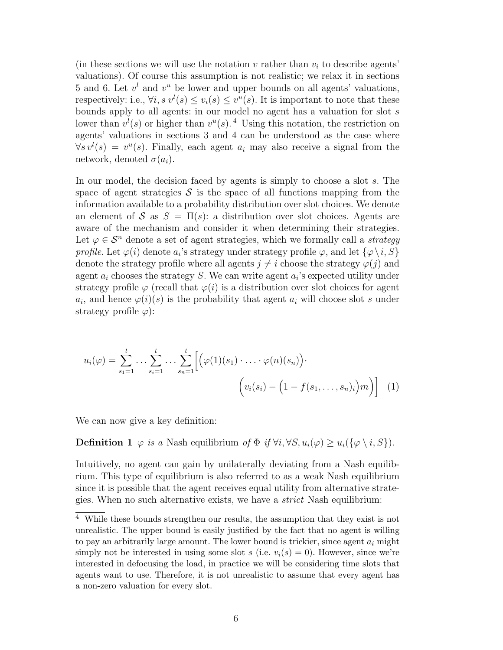(in these sections we will use the notation v rather than  $v_i$  to describe agents' valuations). Of course this assumption is not realistic; we relax it in sections 5 and 6. Let  $v^l$  and  $v^u$  be lower and upper bounds on all agents' valuations, respectively: i.e.,  $\forall i, s \ v^l(s) \leq v_i(s) \leq v^u(s)$ . It is important to note that these bounds apply to all agents: in our model no agent has a valuation for slot s lower than  $v^l(s)$  or higher than  $v^u(s)$ .<sup>4</sup> Using this notation, the restriction on agents' valuations in sections 3 and 4 can be understood as the case where  $\forall s \, v^l(s) = v^u(s)$ . Finally, each agent  $a_i$  may also receive a signal from the network, denoted  $\sigma(a_i)$ .

In our model, the decision faced by agents is simply to choose a slot s. The space of agent strategies  $\mathcal S$  is the space of all functions mapping from the information available to a probability distribution over slot choices. We denote an element of S as  $S = \Pi(s)$ : a distribution over slot choices. Agents are aware of the mechanism and consider it when determining their strategies. Let  $\varphi \in \mathcal{S}^n$  denote a set of agent strategies, which we formally call a *strategy profile*. Let  $\varphi(i)$  denote  $a_i$ 's strategy under strategy profile  $\varphi$ , and let  $\{\varphi \setminus i, S\}$ denote the strategy profile where all agents  $j \neq i$  choose the strategy  $\varphi(j)$  and agent  $a_i$  chooses the strategy S. We can write agent  $a_i$ 's expected utility under strategy profile  $\varphi$  (recall that  $\varphi(i)$  is a distribution over slot choices for agent  $a_i$ , and hence  $\varphi(i)(s)$  is the probability that agent  $a_i$  will choose slot s under strategy profile  $\varphi$ :

$$
u_i(\varphi) = \sum_{s_1=1}^t \dots \sum_{s_i=1}^t \dots \sum_{s_n=1}^t \left[ \left( \varphi(1)(s_1) \cdot \dots \cdot \varphi(n)(s_n) \right) \cdot \left( v_i(s_i) - \left( 1 - f(s_1, \dots, s_n)_i \right) m \right) \right] \tag{1}
$$

We can now give a key definition:

# **Definition 1**  $\varphi$  *is a* Nash equilibrium *of*  $\Phi$  *if*  $\forall i, \forall S, u_i(\varphi) \geq u_i(\{\varphi \setminus i, S\})$ *.*

Intuitively, no agent can gain by unilaterally deviating from a Nash equilibrium. This type of equilibrium is also referred to as a weak Nash equilibrium since it is possible that the agent receives equal utility from alternative strategies. When no such alternative exists, we have a *strict* Nash equilibrium:

 $^4\,$  While these bounds strengthen our results, the assumption that they exist is not unrealistic. The upper bound is easily justified by the fact that no agent is willing to pay an arbitrarily large amount. The lower bound is trickier, since agent  $a_i$  might simply not be interested in using some slot s (i.e.  $v_i(s) = 0$ ). However, since we're interested in defocusing the load, in practice we will be considering time slots that agents want to use. Therefore, it is not unrealistic to assume that every agent has a non-zero valuation for every slot.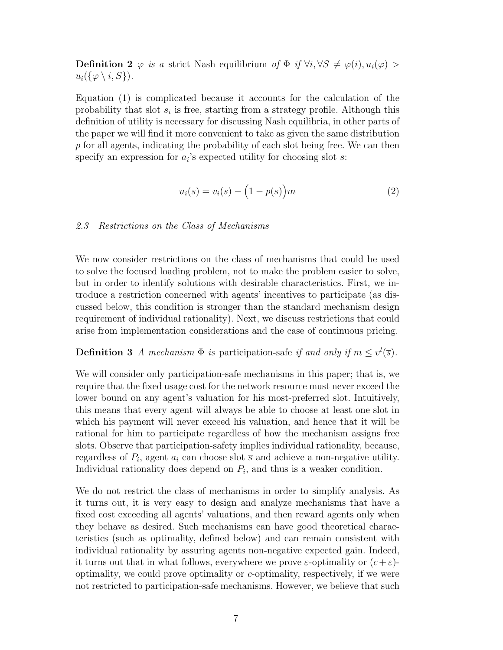**Definition 2**  $\varphi$  *is a* strict Nash equilibrium *of*  $\Phi$  *if*  $\forall i, \forall S \neq \varphi(i), u_i(\varphi) >$  $u_i(\{\varphi \setminus i, S\}).$ 

Equation (1) is complicated because it accounts for the calculation of the probability that slot  $s_i$  is free, starting from a strategy profile. Although this definition of utility is necessary for discussing Nash equilibria, in other parts of the paper we will find it more convenient to take as given the same distribution  $p$  for all agents, indicating the probability of each slot being free. We can then specify an expression for  $a_i$ 's expected utility for choosing slot s:

$$
u_i(s) = v_i(s) - (1 - p(s))m
$$
 (2)

### *2.3 Restrictions on the Class of Mechanisms*

We now consider restrictions on the class of mechanisms that could be used to solve the focused loading problem, not to make the problem easier to solve, but in order to identify solutions with desirable characteristics. First, we introduce a restriction concerned with agents' incentives to participate (as discussed below, this condition is stronger than the standard mechanism design requirement of individual rationality). Next, we discuss restrictions that could arise from implementation considerations and the case of continuous pricing.

# **Definition 3** *A mechanism*  $\Phi$  *is* participation-safe *if and only if*  $m \leq v^l(\overline{s})$ *.*

We will consider only participation-safe mechanisms in this paper; that is, we require that the fixed usage cost for the network resource must never exceed the lower bound on any agent's valuation for his most-preferred slot. Intuitively, this means that every agent will always be able to choose at least one slot in which his payment will never exceed his valuation, and hence that it will be rational for him to participate regardless of how the mechanism assigns free slots. Observe that participation-safety implies individual rationality, because, regardless of  $P_i$ , agent  $a_i$  can choose slot  $\overline{s}$  and achieve a non-negative utility. Individual rationality does depend on  $P_i$ , and thus is a weaker condition.

We do not restrict the class of mechanisms in order to simplify analysis. As it turns out, it is very easy to design and analyze mechanisms that have a fixed cost exceeding all agents' valuations, and then reward agents only when they behave as desired. Such mechanisms can have good theoretical characteristics (such as optimality, defined below) and can remain consistent with individual rationality by assuring agents non-negative expected gain. Indeed, it turns out that in what follows, everywhere we prove  $\varepsilon$ -optimality or  $(c + \varepsilon)$ optimality, we could prove optimality or  $c$ -optimality, respectively, if we were not restricted to participation-safe mechanisms. However, we believe that such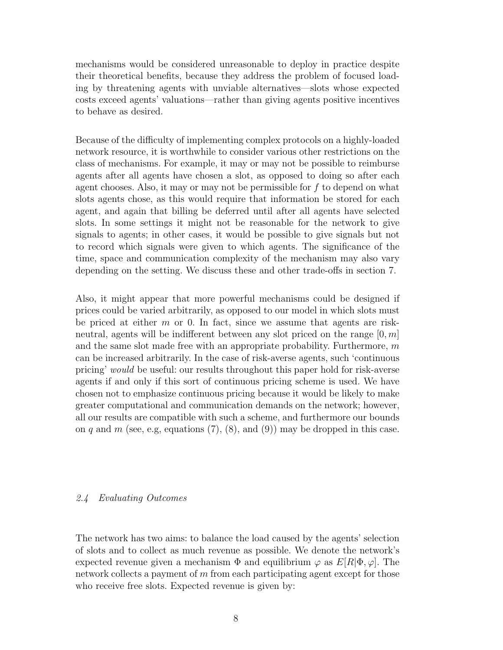mechanisms would be considered unreasonable to deploy in practice despite their theoretical benefits, because they address the problem of focused loading by threatening agents with unviable alternatives—slots whose expected costs exceed agents' valuations—rather than giving agents positive incentives to behave as desired.

Because of the difficulty of implementing complex protocols on a highly-loaded network resource, it is worthwhile to consider various other restrictions on the class of mechanisms. For example, it may or may not be possible to reimburse agents after all agents have chosen a slot, as opposed to doing so after each agent chooses. Also, it may or may not be permissible for f to depend on what slots agents chose, as this would require that information be stored for each agent, and again that billing be deferred until after all agents have selected slots. In some settings it might not be reasonable for the network to give signals to agents; in other cases, it would be possible to give signals but not to record which signals were given to which agents. The significance of the time, space and communication complexity of the mechanism may also vary depending on the setting. We discuss these and other trade-offs in section 7.

Also, it might appear that more powerful mechanisms could be designed if prices could be varied arbitrarily, as opposed to our model in which slots must be priced at either  $m$  or 0. In fact, since we assume that agents are riskneutral, agents will be indifferent between any slot priced on the range  $[0, m]$ and the same slot made free with an appropriate probability. Furthermore,  $m$ can be increased arbitrarily. In the case of risk-averse agents, such 'continuous pricing' *would* be useful: our results throughout this paper hold for risk-averse agents if and only if this sort of continuous pricing scheme is used. We have chosen not to emphasize continuous pricing because it would be likely to make greater computational and communication demands on the network; however, all our results are compatible with such a scheme, and furthermore our bounds on q and m (see, e.g, equations  $(7)$ ,  $(8)$ , and  $(9)$ ) may be dropped in this case.

### *2.4 Evaluating Outcomes*

The network has two aims: to balance the load caused by the agents' selection of slots and to collect as much revenue as possible. We denote the network's expected revenue given a mechanism  $\Phi$  and equilibrium  $\varphi$  as  $E[R|\Phi,\varphi]$ . The network collects a payment of  $m$  from each participating agent except for those who receive free slots. Expected revenue is given by: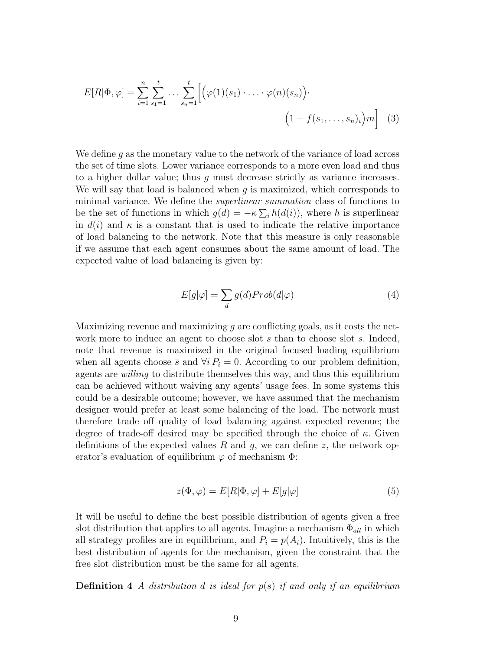$$
E[R|\Phi,\varphi] = \sum_{i=1}^{n} \sum_{s_1=1}^{t} \dots \sum_{s_n=1}^{t} \left[ \left( \varphi(1)(s_1) \cdot \dots \cdot \varphi(n)(s_n) \right) \cdot \left( 1 - f(s_1, \dots, s_n) \right) m \right] \tag{3}
$$

We define  $g$  as the monetary value to the network of the variance of load across the set of time slots. Lower variance corresponds to a more even load and thus to a higher dollar value; thus g must decrease strictly as variance increases. We will say that load is balanced when  $g$  is maximized, which corresponds to minimal variance. We define the *superlinear summation* class of functions to be the set of functions in which  $g(d) = -\kappa \sum_i h(d(i))$ , where h is superlinear in  $d(i)$  and  $\kappa$  is a constant that is used to indicate the relative importance of load balancing to the network. Note that this measure is only reasonable if we assume that each agent consumes about the same amount of load. The expected value of load balancing is given by:

$$
E[g|\varphi] = \sum_{d} g(d) Prob(d|\varphi)
$$
 (4)

Maximizing revenue and maximizing  $g$  are conflicting goals, as it costs the network more to induce an agent to choose slot  $\frac{s}{s}$  than to choose slot  $\overline{s}$ . Indeed, note that revenue is maximized in the original focused loading equilibrium when all agents choose  $\bar{s}$  and  $\forall i P_i = 0$ . According to our problem definition, agents are *willing* to distribute themselves this way, and thus this equilibrium can be achieved without waiving any agents' usage fees. In some systems this could be a desirable outcome; however, we have assumed that the mechanism designer would prefer at least some balancing of the load. The network must therefore trade off quality of load balancing against expected revenue; the degree of trade-off desired may be specified through the choice of  $\kappa$ . Given definitions of the expected values R and g, we can define z, the network operator's evaluation of equilibrium  $\varphi$  of mechanism  $\Phi$ :

$$
z(\Phi, \varphi) = E[R|\Phi, \varphi] + E[g|\varphi]
$$
\n(5)

It will be useful to define the best possible distribution of agents given a free slot distribution that applies to all agents. Imagine a mechanism  $\Phi_{all}$  in which all strategy profiles are in equilibrium, and  $P_i = p(A_i)$ . Intuitively, this is the best distribution of agents for the mechanism, given the constraint that the free slot distribution must be the same for all agents.

**Definition 4** *A distribution* d *is ideal for* p(s) *if and only if an equilibrium*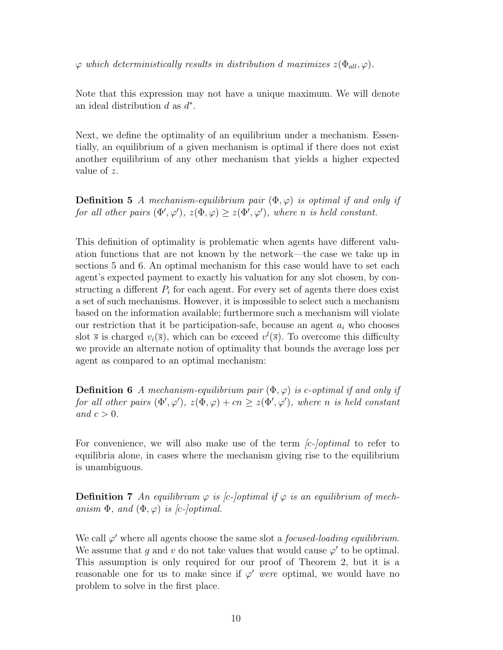$\varphi$  which deterministically results in distribution d maximizes  $z(\Phi_{all}, \varphi)$ .

Note that this expression may not have a unique maximum. We will denote an ideal distribution d as  $d^*$ .

Next, we define the optimality of an equilibrium under a mechanism. Essentially, an equilibrium of a given mechanism is optimal if there does not exist another equilibrium of any other mechanism that yields a higher expected value of z.

**Definition 5** *A mechanism-equilibrium pair*  $(\Phi, \varphi)$  *is optimal if and only if for all other pairs*  $(\Phi', \varphi'), z(\Phi, \varphi) \geq z(\Phi', \varphi'),$  where *n is held constant.* 

This definition of optimality is problematic when agents have different valuation functions that are not known by the network—the case we take up in sections 5 and 6. An optimal mechanism for this case would have to set each agent's expected payment to exactly his valuation for any slot chosen, by constructing a different  $P_i$  for each agent. For every set of agents there does exist a set of such mechanisms. However, it is impossible to select such a mechanism based on the information available; furthermore such a mechanism will violate our restriction that it be participation-safe, because an agent  $a_i$  who chooses slot  $\bar{s}$  is charged  $v_i(\bar{s})$ , which can be exceed  $v^l(\bar{s})$ . To overcome this difficulty we provide an alternate notion of optimality that bounds the average loss per agent as compared to an optimal mechanism:

**Definition 6** *A mechanism-equilibrium pair*  $(\Phi, \varphi)$  *is c-optimal if and only if for all other pairs*  $(\Phi', \varphi'), z(\Phi, \varphi) + cn \geq z(\Phi', \varphi'),$  where *n is held constant and*  $c > 0$ *.* 

For convenience, we will also make use of the term *[*c*-]optimal* to refer to equilibria alone, in cases where the mechanism giving rise to the equilibrium is unambiguous.

**Definition 7** An equilibrium  $\varphi$  is [c-]optimal if  $\varphi$  is an equilibrium of mech*anism*  $\Phi$ *, and*  $(\Phi, \varphi)$  *is [c-]optimal.* 

We call  $\varphi'$  where all agents choose the same slot a *focused-loading equilibrium*. We assume that g and v do not take values that would cause  $\varphi'$  to be optimal. This assumption is only required for our proof of Theorem 2, but it is a reasonable one for us to make since if  $\varphi'$  were optimal, we would have no problem to solve in the first place.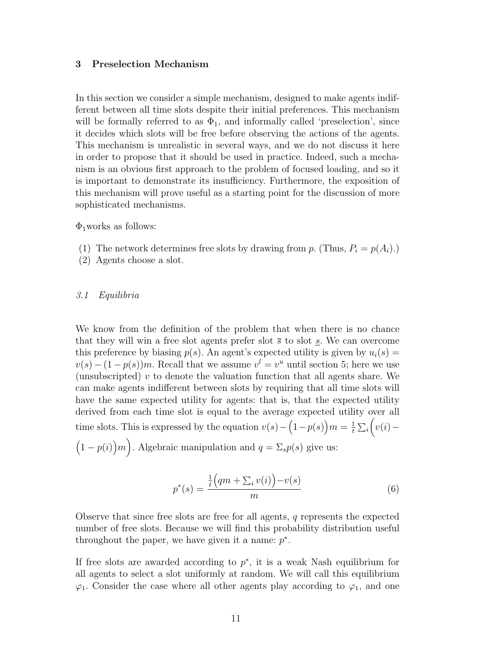#### **3 Preselection Mechanism**

In this section we consider a simple mechanism, designed to make agents indifferent between all time slots despite their initial preferences. This mechanism will be formally referred to as  $\Phi_1$ , and informally called 'preselection', since it decides which slots will be free before observing the actions of the agents. This mechanism is unrealistic in several ways, and we do not discuss it here in order to propose that it should be used in practice. Indeed, such a mechanism is an obvious first approach to the problem of focused loading, and so it is important to demonstrate its insufficiency. Furthermore, the exposition of this mechanism will prove useful as a starting point for the discussion of more sophisticated mechanisms.

 $\Phi_1$  works as follows:

- (1) The network determines free slots by drawing from p. (Thus,  $P_i = p(A_i)$ .)
- (2) Agents choose a slot.

#### *3.1 Equilibria*

We know from the definition of the problem that when there is no chance that they will win a free slot agents prefer slot  $\overline{s}$  to slot  $\underline{s}$ . We can overcome this preference by biasing  $p(s)$ . An agent's expected utility is given by  $u_i(s) =$  $v(s) - (1 - p(s))m$ . Recall that we assume  $v^l = v^u$  until section 5; here we use (unsubscripted)  $v$  to denote the valuation function that all agents share. We can make agents indifferent between slots by requiring that all time slots will have the same expected utility for agents: that is, that the expected utility derived from each time slot is equal to the average expected utility over all time slots. This is expressed by the equation  $v(s) - (1-p(s))m = \frac{1}{t} \sum_i$  $\Big(v(i)-\Big)$ 

 $(1-p(i))m$ . Algebraic manipulation and  $q = \sum_{s} p(s)$  give us:

$$
p^*(s) = \frac{\frac{1}{t}\left(qm + \sum_i v(i)\right) - v(s)}{m} \tag{6}
$$

Observe that since free slots are free for all agents,  $q$  represents the expected number of free slots. Because we will find this probability distribution useful throughout the paper, we have given it a name:  $p^*$ .

If free slots are awarded according to  $p^*$ , it is a weak Nash equilibrium for all agents to select a slot uniformly at random. We will call this equilibrium  $\varphi_1$ . Consider the case where all other agents play according to  $\varphi_1$ , and one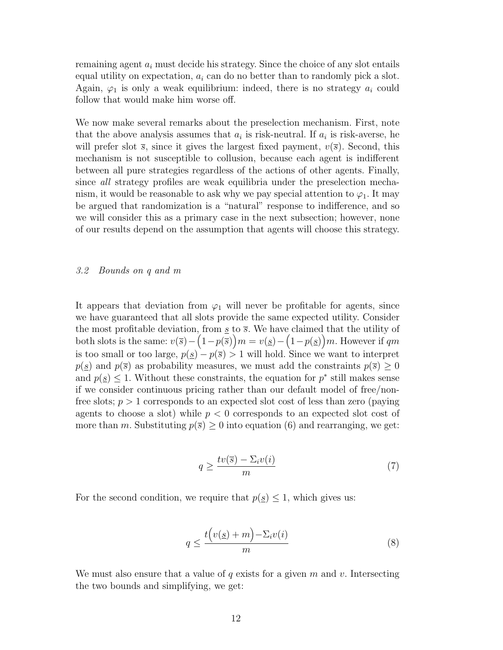remaining agent  $a_i$  must decide his strategy. Since the choice of any slot entails equal utility on expectation,  $a_i$  can do no better than to randomly pick a slot. Again,  $\varphi_1$  is only a weak equilibrium: indeed, there is no strategy  $a_i$  could follow that would make him worse off.

We now make several remarks about the preselection mechanism. First, note that the above analysis assumes that  $a_i$  is risk-neutral. If  $a_i$  is risk-averse, he will prefer slot  $\overline{s}$ , since it gives the largest fixed payment,  $v(\overline{s})$ . Second, this mechanism is not susceptible to collusion, because each agent is indifferent between all pure strategies regardless of the actions of other agents. Finally, since *all* strategy profiles are weak equilibria under the preselection mechanism, it would be reasonable to ask why we pay special attention to  $\varphi_1$ . It may be argued that randomization is a "natural" response to indifference, and so we will consider this as a primary case in the next subsection; however, none of our results depend on the assumption that agents will choose this strategy.

#### *3.2 Bounds on q and m*

It appears that deviation from  $\varphi_1$  will never be profitable for agents, since we have guaranteed that all slots provide the same expected utility. Consider the most profitable deviation, from  $s$  to  $\overline{s}$ . We have claimed that the utility of both slots is the same:  $v(\overline{s}) - (1-p(\overline{s}))m = v(\underline{s}) - (1-p(\underline{s}))m$ . However if qm is too small or too large,  $p(\underline{s}) - p(\overline{s}) > 1$  will hold. Since we want to interpret  $p(\underline{s})$  and  $p(\overline{s})$  as probability measures, we must add the constraints  $p(\overline{s}) \geq 0$ and  $p(\underline{s}) \leq 1$ . Without these constraints, the equation for  $p^*$  still makes sense if we consider continuous pricing rather than our default model of free/nonfree slots;  $p > 1$  corresponds to an expected slot cost of less than zero (paying agents to choose a slot) while  $p < 0$  corresponds to an expected slot cost of more than m. Substituting  $p(\overline{s}) \ge 0$  into equation (6) and rearranging, we get:

$$
q \ge \frac{tv(\overline{s}) - \Sigma_i v(i)}{m} \tag{7}
$$

For the second condition, we require that  $p(\underline{s}) \leq 1$ , which gives us:

$$
q \le \frac{t\left(v(\underline{s}) + m\right) - \sum_i v(i)}{m} \tag{8}
$$

We must also ensure that a value of q exists for a given  $m$  and  $v$ . Intersecting the two bounds and simplifying, we get: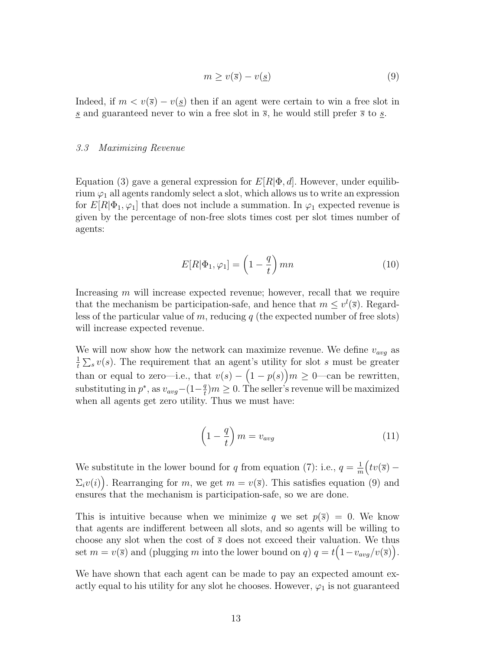$$
m \ge v(\overline{s}) - v(\underline{s})\tag{9}
$$

Indeed, if  $m < v(\bar{s}) - v(\bar{s})$  then if an agent were certain to win a free slot in  $s$  and guaranteed never to win a free slot in  $\overline{s}$ , he would still prefer  $\overline{s}$  to  $s$ .

#### *3.3 Maximizing Revenue*

Equation (3) gave a general expression for  $E[R|\Phi, d]$ . However, under equilibrium  $\varphi_1$  all agents randomly select a slot, which allows us to write an expression for  $E[R|\Phi_1,\varphi_1]$  that does not include a summation. In  $\varphi_1$  expected revenue is given by the percentage of non-free slots times cost per slot times number of agents:

$$
E[R|\Phi_1, \varphi_1] = \left(1 - \frac{q}{t}\right)mn\tag{10}
$$

Increasing m will increase expected revenue; however, recall that we require that the mechanism be participation-safe, and hence that  $m \leq v^l(\overline{s})$ . Regardless of the particular value of m, reducing q (the expected number of free slots) will increase expected revenue.

We will now show how the network can maximize revenue. We define  $v_{avg}$  as 1  $\frac{1}{t} \sum_{s} v(s)$ . The requirement that an agent's utility for slot s must be greater than or equal to zero—i.e., that  $v(s) - (1 - p(s))m \geq 0$ —can be rewritten, substituting in  $p^*$ , as  $v_{avg}-(1-\frac{q}{t})m\geq 0$ . The seller's revenue will be maximized when all agents get zero utility. Thus we must have:

$$
\left(1 - \frac{q}{t}\right)m = v_{avg} \tag{11}
$$

We substitute in the lower bound for q from equation (7): i.e.,  $q = \frac{1}{m} (tv(\bar{s}) \Sigma_i v(i)$ . Rearranging for m, we get  $m = v(\overline{s})$ . This satisfies equation (9) and ensures that the mechanism is participation-safe, so we are done.

This is intuitive because when we minimize q we set  $p(\bar{s}) = 0$ . We know that agents are indifferent between all slots, and so agents will be willing to choose any slot when the cost of  $\overline{s}$  does not exceed their valuation. We thus set  $m = v(\overline{s})$  and (plugging m into the lower bound on q)  $q = t(1 - v_{avg}/v(\overline{s}))$ .

We have shown that each agent can be made to pay an expected amount exactly equal to his utility for any slot he chooses. However,  $\varphi_1$  is not guaranteed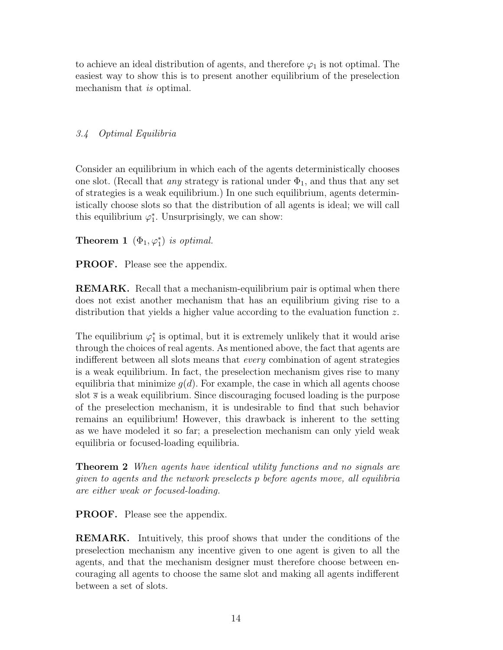to achieve an ideal distribution of agents, and therefore  $\varphi_1$  is not optimal. The easiest way to show this is to present another equilibrium of the preselection mechanism that *is* optimal.

# *3.4 Optimal Equilibria*

Consider an equilibrium in which each of the agents deterministically chooses one slot. (Recall that *any* strategy is rational under  $\Phi_1$ , and thus that any set of strategies is a weak equilibrium.) In one such equilibrium, agents deterministically choose slots so that the distribution of all agents is ideal; we will call this equilibrium  $\varphi_1^*$ . Unsurprisingly, we can show:

**Theorem 1**  $(\Phi_1, \varphi_1^*)$  *is optimal.* 

**PROOF.** Please see the appendix.

**REMARK.** Recall that a mechanism-equilibrium pair is optimal when there does not exist another mechanism that has an equilibrium giving rise to a distribution that yields a higher value according to the evaluation function z.

The equilibrium  $\varphi_1^*$  is optimal, but it is extremely unlikely that it would arise through the choices of real agents. As mentioned above, the fact that agents are indifferent between all slots means that *every* combination of agent strategies is a weak equilibrium. In fact, the preselection mechanism gives rise to many equilibria that minimize  $q(d)$ . For example, the case in which all agents choose slot  $\bar{s}$  is a weak equilibrium. Since discouraging focused loading is the purpose of the preselection mechanism, it is undesirable to find that such behavior remains an equilibrium! However, this drawback is inherent to the setting as we have modeled it so far; a preselection mechanism can only yield weak equilibria or focused-loading equilibria.

**Theorem 2** *When agents have identical utility functions and no signals are given to agents and the network preselects* p *before agents move, all equilibria are either weak or focused-loading.*

**PROOF.** Please see the appendix.

**REMARK.** Intuitively, this proof shows that under the conditions of the preselection mechanism any incentive given to one agent is given to all the agents, and that the mechanism designer must therefore choose between encouraging all agents to choose the same slot and making all agents indifferent between a set of slots.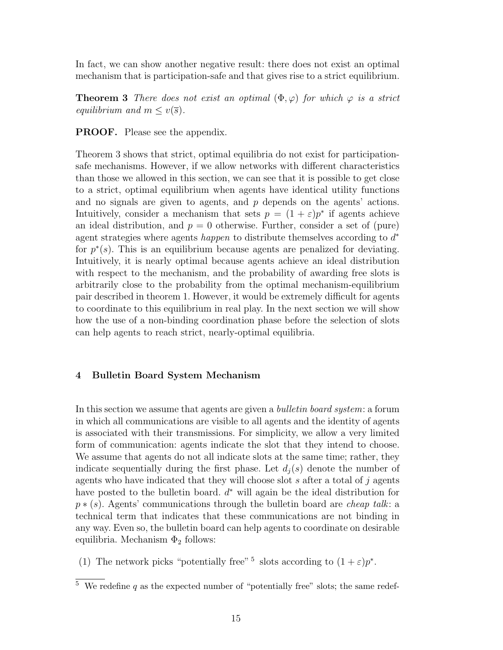In fact, we can show another negative result: there does not exist an optimal mechanism that is participation-safe and that gives rise to a strict equilibrium.

**Theorem 3** *There does not exist an optimal*  $(\Phi, \varphi)$  *for which*  $\varphi$  *is a strict equilibrium and*  $m \le v(\overline{s})$ *.* 

**PROOF.** Please see the appendix.

Theorem 3 shows that strict, optimal equilibria do not exist for participationsafe mechanisms. However, if we allow networks with different characteristics than those we allowed in this section, we can see that it is possible to get close to a strict, optimal equilibrium when agents have identical utility functions and no signals are given to agents, and  $p$  depends on the agents' actions. Intuitively, consider a mechanism that sets  $p = (1 + \varepsilon)p^*$  if agents achieve an ideal distribution, and  $p = 0$  otherwise. Further, consider a set of (pure) agent strategies where agents *happen* to distribute themselves according to d<sup>∗</sup> for  $p^*(s)$ . This is an equilibrium because agents are penalized for deviating. Intuitively, it is nearly optimal because agents achieve an ideal distribution with respect to the mechanism, and the probability of awarding free slots is arbitrarily close to the probability from the optimal mechanism-equilibrium pair described in theorem 1. However, it would be extremely difficult for agents to coordinate to this equilibrium in real play. In the next section we will show how the use of a non-binding coordination phase before the selection of slots can help agents to reach strict, nearly-optimal equilibria.

## **4 Bulletin Board System Mechanism**

In this section we assume that agents are given a *bulletin board system*: a forum in which all communications are visible to all agents and the identity of agents is associated with their transmissions. For simplicity, we allow a very limited form of communication: agents indicate the slot that they intend to choose. We assume that agents do not all indicate slots at the same time; rather, they indicate sequentially during the first phase. Let  $d_i(s)$  denote the number of agents who have indicated that they will choose slot s after a total of  $j$  agents have posted to the bulletin board.  $d^*$  will again be the ideal distribution for p ∗ (s). Agents' communications through the bulletin board are *cheap talk*: a technical term that indicates that these communications are not binding in any way. Even so, the bulletin board can help agents to coordinate on desirable equilibria. Mechanism  $\Phi_2$  follows:

(1) The network picks "potentially free" <sup>5</sup> slots according to  $(1 + \varepsilon)p^*$ .

 $\overline{5}$  We redefine q as the expected number of "potentially free" slots; the same redef-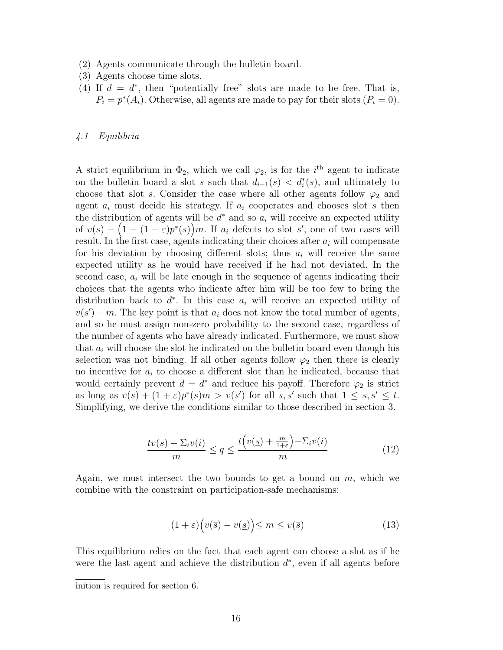- (2) Agents communicate through the bulletin board.
- (3) Agents choose time slots.
- (4) If  $d = d^*$ , then "potentially free" slots are made to be free. That is,  $P_i = p^*(A_i)$ . Otherwise, all agents are made to pay for their slots  $(P_i = 0)$ .

## *4.1 Equilibria*

A strict equilibrium in  $\Phi_2$ , which we call  $\varphi_2$ , is for the i<sup>th</sup> agent to indicate on the bulletin board a slot s such that  $d_{i-1}(s) < d_i^*(s)$ , and ultimately to choose that slot s. Consider the case where all other agents follow  $\varphi_2$  and agent  $a_i$  must decide his strategy. If  $a_i$  cooperates and chooses slot s then the distribution of agents will be  $d^*$  and so  $a_i$  will receive an expected utility of  $v(s) - (1 - (1 + \varepsilon)p^*(s))m$ . If  $a_i$  defects to slot s', one of two cases will result. In the first case, agents indicating their choices after  $a_i$  will compensate for his deviation by choosing different slots; thus  $a_i$  will receive the same expected utility as he would have received if he had not deviated. In the second case,  $a_i$  will be late enough in the sequence of agents indicating their choices that the agents who indicate after him will be too few to bring the distribution back to  $d^*$ . In this case  $a_i$  will receive an expected utility of  $v(s') - m$ . The key point is that  $a_i$  does not know the total number of agents, and so he must assign non-zero probability to the second case, regardless of the number of agents who have already indicated. Furthermore, we must show that  $a_i$  will choose the slot he indicated on the bulletin board even though his selection was not binding. If all other agents follow  $\varphi_2$  then there is clearly no incentive for  $a_i$  to choose a different slot than he indicated, because that would certainly prevent  $d = d^*$  and reduce his payoff. Therefore  $\varphi_2$  is strict as long as  $v(s) + (1 + \varepsilon)p^*(s)m > v(s')$  for all  $s, s'$  such that  $1 \leq s, s' \leq t$ . Simplifying, we derive the conditions similar to those described in section 3.

$$
\frac{tv(\overline{s}) - \Sigma_i v(i)}{m} \le q \le \frac{t\left(v(\underline{s}) + \frac{m}{1+\varepsilon}\right) - \Sigma_i v(i)}{m} \tag{12}
$$

Again, we must intersect the two bounds to get a bound on  $m$ , which we combine with the constraint on participation-safe mechanisms:

$$
(1+\varepsilon)\Big(v(\overline{s}) - v(\underline{s})\Big) \le m \le v(\overline{s})\tag{13}
$$

This equilibrium relies on the fact that each agent can choose a slot as if he were the last agent and achieve the distribution  $d^*$ , even if all agents before

inition is required for section 6.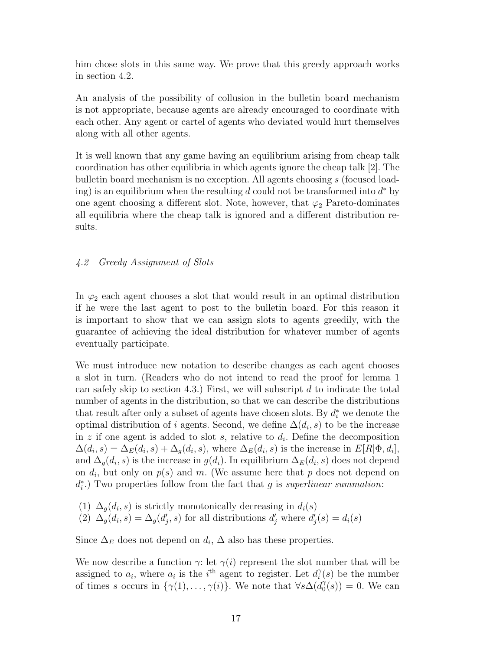him chose slots in this same way. We prove that this greedy approach works in section 4.2.

An analysis of the possibility of collusion in the bulletin board mechanism is not appropriate, because agents are already encouraged to coordinate with each other. Any agent or cartel of agents who deviated would hurt themselves along with all other agents.

It is well known that any game having an equilibrium arising from cheap talk coordination has other equilibria in which agents ignore the cheap talk [2]. The bullet in board mechanism is no exception. All agents choosing  $\bar{s}$  (focused loading) is an equilibrium when the resulting d could not be transformed into  $d^*$  by one agent choosing a different slot. Note, however, that  $\varphi_2$  Pareto-dominates all equilibria where the cheap talk is ignored and a different distribution results.

# *4.2 Greedy Assignment of Slots*

In  $\varphi_2$  each agent chooses a slot that would result in an optimal distribution if he were the last agent to post to the bulletin board. For this reason it is important to show that we can assign slots to agents greedily, with the guarantee of achieving the ideal distribution for whatever number of agents eventually participate.

We must introduce new notation to describe changes as each agent chooses a slot in turn. (Readers who do not intend to read the proof for lemma 1 can safely skip to section 4.3.) First, we will subscript  $d$  to indicate the total number of agents in the distribution, so that we can describe the distributions that result after only a subset of agents have chosen slots. By  $d_i^*$  we denote the optimal distribution of i agents. Second, we define  $\Delta(d_i, s)$  to be the increase in z if one agent is added to slot s, relative to  $d_i$ . Define the decomposition  $\Delta(d_i, s) = \Delta_E(d_i, s) + \Delta_q(d_i, s)$ , where  $\Delta_E(d_i, s)$  is the increase in  $E[R|\Phi, d_i]$ , and  $\Delta_g(d_i, s)$  is the increase in  $g(d_i)$ . In equilibrium  $\Delta_E(d_i, s)$  does not depend on  $d_i$ , but only on  $p(s)$  and m. (We assume here that p does not depend on d∗ <sup>i</sup> .) Two properties follow from the fact that g is *superlinear summation*:

(1)  $\Delta_g(d_i, s)$  is strictly monotonically decreasing in  $d_i(s)$ (2)  $\Delta_g(d_i, s) = \Delta_g(d'_j, s)$  for all distributions  $d'_j$  where  $d'_j(s) = d_i(s)$ 

Since  $\Delta_E$  does not depend on  $d_i$ ,  $\Delta$  also has these properties.

We now describe a function  $\gamma$ : let  $\gamma(i)$  represent the slot number that will be assigned to  $a_i$ , where  $a_i$  is the i<sup>th</sup> agent to register. Let  $d_i^{\gamma}(s)$  be the number of times s occurs in  $\{\gamma(1), \ldots, \gamma(i)\}\)$ . We note that  $\forall s \Delta(\tilde{d}_0^{\gamma}(s)) = 0$ . We can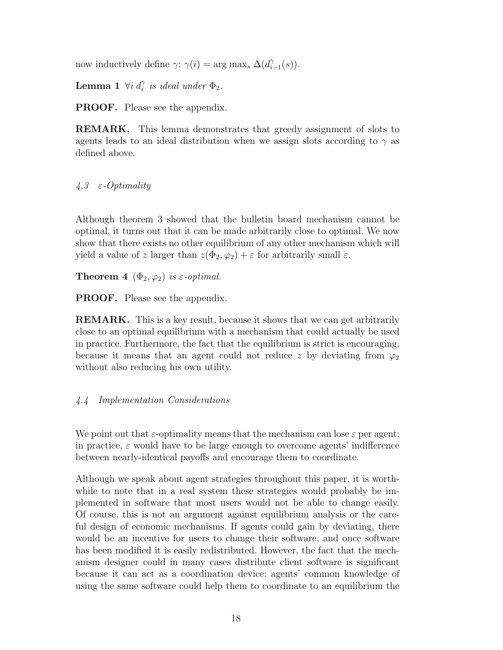now inductively define  $\gamma$ :  $\gamma(i) = \arg \max_s \Delta(d_{i-1}^{\gamma}(s)).$ 

**Lemma 1**  $\forall i \, d_i^{\gamma}$  *is ideal under*  $\Phi_2$ *.* 

**PROOF.** Please see the appendix.

**REMARK.** This lemma demonstrates that greedy assignment of slots to agents leads to an ideal distribution when we assign slots according to  $\gamma$  as defined above.

*4.3* ε*-Optimality*

Although theorem 3 showed that the bulletin board mechanism cannot be optimal, it turns out that it can be made arbitrarily close to optimal. We now show that there exists no other equilibrium of any other mechanism which will yield a value of z larger than  $z(\Phi_2, \varphi_2) + \varepsilon$  for arbitrarily small  $\varepsilon$ .

**Theorem 4**  $(\Phi_2, \varphi_2)$  *is*  $\varepsilon$ *-optimal.* 

**PROOF.** Please see the appendix.

**REMARK.** This is a key result, because it shows that we can get arbitrarily close to an optimal equilibrium with a mechanism that could actually be used in practice. Furthermore, the fact that the equilibrium is strict is encouraging, because it means that an agent could not reduce z by deviating from  $\varphi_2$ without also reducing his own utility.

# *4.4 Implementation Considerations*

We point out that  $\varepsilon$ -optimality means that the mechanism can lose  $\varepsilon$  per agent; in practice,  $\varepsilon$  would have to be large enough to overcome agents' indifference between nearly-identical payoffs and encourage them to coordinate.

Although we speak about agent strategies throughout this paper, it is worthwhile to note that in a real system these strategies would probably be implemented in software that most users would not be able to change easily. Of course, this is not an argument against equilibrium analysis or the careful design of economic mechanisms. If agents could gain by deviating, there would be an incentive for users to change their software, and once software has been modified it is easily redistributed. However, the fact that the mechanism designer could in many cases distribute client software is significant because it can act as a coordination device: agents' common knowledge of using the same software could help them to coordinate to an equilibrium the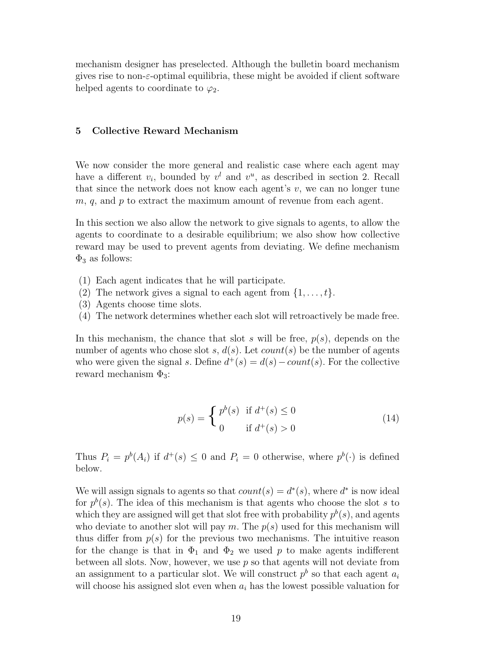mechanism designer has preselected. Although the bulletin board mechanism gives rise to non- $\varepsilon$ -optimal equilibria, these might be avoided if client software helped agents to coordinate to  $\varphi_2$ .

# **5 Collective Reward Mechanism**

We now consider the more general and realistic case where each agent may have a different  $v_i$ , bounded by  $v^l$  and  $v^u$ , as described in section 2. Recall that since the network does not know each agent's  $v$ , we can no longer tune  $m, q$ , and p to extract the maximum amount of revenue from each agent.

In this section we also allow the network to give signals to agents, to allow the agents to coordinate to a desirable equilibrium; we also show how collective reward may be used to prevent agents from deviating. We define mechanism  $\Phi_3$  as follows:

- (1) Each agent indicates that he will participate.
- (2) The network gives a signal to each agent from  $\{1,\ldots,t\}$ .
- (3) Agents choose time slots.
- (4) The network determines whether each slot will retroactively be made free.

In this mechanism, the chance that slot s will be free,  $p(s)$ , depends on the number of agents who chose slot s,  $d(s)$ . Let  $count(s)$  be the number of agents who were given the signal s. Define  $d^+(s) = d(s) - count(s)$ . For the collective reward mechanism  $\Phi_3$ :

$$
p(s) = \begin{cases} p^{b}(s) & \text{if } d^{+}(s) \le 0 \\ 0 & \text{if } d^{+}(s) > 0 \end{cases}
$$
 (14)

Thus  $P_i = p^b(A_i)$  if  $d^+(s) \leq 0$  and  $P_i = 0$  otherwise, where  $p^b(\cdot)$  is defined below.

We will assign signals to agents so that  $count(s) = d^*(s)$ , where  $d^*$  is now ideal for  $p^{b}(s)$ . The idea of this mechanism is that agents who choose the slot s to which they are assigned will get that slot free with probability  $p^{b}(s)$ , and agents who deviate to another slot will pay m. The  $p(s)$  used for this mechanism will thus differ from  $p(s)$  for the previous two mechanisms. The intuitive reason for the change is that in  $\Phi_1$  and  $\Phi_2$  we used p to make agents indifferent between all slots. Now, however, we use  $p$  so that agents will not deviate from an assignment to a particular slot. We will construct  $p<sup>b</sup>$  so that each agent  $a<sub>i</sub>$ will choose his assigned slot even when  $a_i$  has the lowest possible valuation for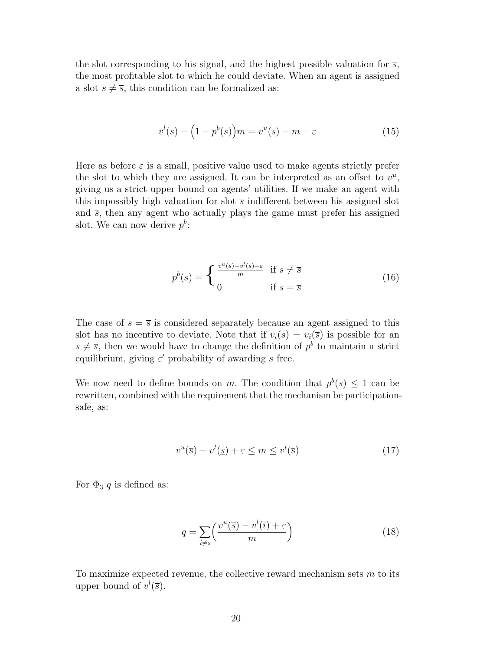the slot corresponding to his signal, and the highest possible valuation for  $\bar{s}$ , the most profitable slot to which he could deviate. When an agent is assigned a slot  $s \neq \overline{s}$ , this condition can be formalized as:

$$
v^{l}(s) - \left(1 - p^{b}(s)\right)m = v^{u}(\overline{s}) - m + \varepsilon
$$
\n(15)

Here as before  $\varepsilon$  is a small, positive value used to make agents strictly prefer the slot to which they are assigned. It can be interpreted as an offset to  $v^u$ , giving us a strict upper bound on agents' utilities. If we make an agent with this impossibly high valuation for slot  $\bar{s}$  indifferent between his assigned slot and  $\bar{s}$ , then any agent who actually plays the game must prefer his assigned slot. We can now derive  $p^b$ :

$$
p^{b}(s) = \begin{cases} \frac{v^{u}(\overline{s}) - v^{l}(s) + \varepsilon}{m} & \text{if } s \neq \overline{s} \\ 0 & \text{if } s = \overline{s} \end{cases}
$$
(16)

The case of  $s = \overline{s}$  is considered separately because an agent assigned to this slot has no incentive to deviate. Note that if  $v_i(s) = v_i(\overline{s})$  is possible for an  $s \neq \overline{s}$ , then we would have to change the definition of  $p^b$  to maintain a strict equilibrium, giving  $\varepsilon'$  probability of awarding  $\overline{s}$  free.

We now need to define bounds on m. The condition that  $p^{b}(s) \leq 1$  can be rewritten, combined with the requirement that the mechanism be participationsafe, as:

$$
v^u(\overline{s}) - v^l(\underline{s}) + \varepsilon \le m \le v^l(\overline{s})
$$
\n(17)

For  $\Phi_3$  q is defined as:

$$
q = \sum_{i \neq \overline{s}} \left( \frac{v^u(\overline{s}) - v^l(i) + \varepsilon}{m} \right) \tag{18}
$$

To maximize expected revenue, the collective reward mechanism sets  $m$  to its upper bound of  $v^l(\overline{s})$ .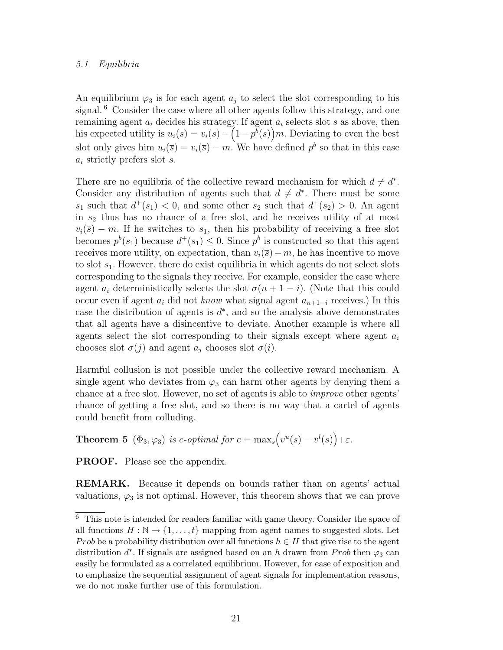## *5.1 Equilibria*

An equilibrium  $\varphi_3$  is for each agent  $a_j$  to select the slot corresponding to his signal.<sup>6</sup> Consider the case where all other agents follow this strategy, and one remaining agent  $a_i$  decides his strategy. If agent  $a_i$  selects slot s as above, then his expected utility is  $u_i(s) = v_i(s) - (1 - p^b(s))m$ . Deviating to even the best slot only gives him  $u_i(\overline{s}) = v_i(\overline{s}) - m$ . We have defined  $p^b$  so that in this case  $a_i$  strictly prefers slot s.

There are no equilibria of the collective reward mechanism for which  $d \neq d^*$ . Consider any distribution of agents such that  $d \neq d^*$ . There must be some  $s_1$  such that  $d^+(s_1) < 0$ , and some other  $s_2$  such that  $d^+(s_2) > 0$ . An agent in  $s_2$  thus has no chance of a free slot, and he receives utility of at most  $v_i(\overline{s}) - m$ . If he switches to  $s_1$ , then his probability of receiving a free slot becomes  $p^{b}(s_1)$  because  $d^+(s_1) \leq 0$ . Since  $p^{b}$  is constructed so that this agent receives more utility, on expectation, than  $v_i(\overline{s}) - m$ , he has incentive to move to slot  $s<sub>1</sub>$ . However, there do exist equilibria in which agents do not select slots corresponding to the signals they receive. For example, consider the case where agent  $a_i$  deterministically selects the slot  $\sigma(n+1-i)$ . (Note that this could occur even if agent  $a_i$  did not *know* what signal agent  $a_{n+1-i}$  receives.) In this case the distribution of agents is  $d^*$ , and so the analysis above demonstrates that all agents have a disincentive to deviate. Another example is where all agents select the slot corresponding to their signals except where agent  $a_i$ chooses slot  $\sigma(j)$  and agent  $a_j$  chooses slot  $\sigma(i)$ .

Harmful collusion is not possible under the collective reward mechanism. A single agent who deviates from  $\varphi_3$  can harm other agents by denying them a chance at a free slot. However, no set of agents is able to *improve* other agents' chance of getting a free slot, and so there is no way that a cartel of agents could benefit from colluding.

**Theorem 5**  $(\Phi_3, \varphi_3)$  *is c-optimal for*  $c = \max_s (v^u(s) - v^l(s)) + \varepsilon$ .

**PROOF.** Please see the appendix.

**REMARK.** Because it depends on bounds rather than on agents' actual valuations,  $\varphi_3$  is not optimal. However, this theorem shows that we can prove

 $6$  This note is intended for readers familiar with game theory. Consider the space of all functions  $H : \mathbb{N} \to \{1, \ldots, t\}$  mapping from agent names to suggested slots. Let Prob be a probability distribution over all functions  $h \in H$  that give rise to the agent distribution  $d^*$ . If signals are assigned based on an h drawn from Prob then  $\varphi_3$  can easily be formulated as a correlated equilibrium. However, for ease of exposition and to emphasize the sequential assignment of agent signals for implementation reasons, we do not make further use of this formulation.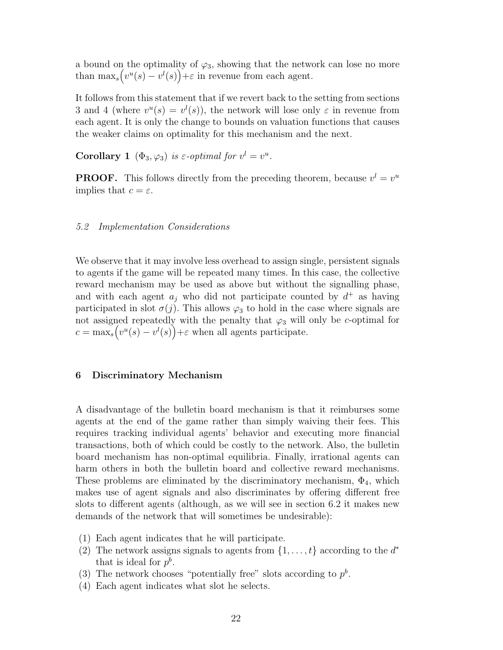a bound on the optimality of  $\varphi_3$ , showing that the network can lose no more than  $\max_s(v^u(s) - v^l(s)) + \varepsilon$  in revenue from each agent.

It follows from this statement that if we revert back to the setting from sections 3 and 4 (where  $v^u(s) = v^l(s)$ ), the network will lose only  $\varepsilon$  in revenue from each agent. It is only the change to bounds on valuation functions that causes the weaker claims on optimality for this mechanism and the next.

**Corollary 1**  $(\Phi_3, \varphi_3)$  *is*  $\varepsilon$ *-optimal for*  $v^l = v^u$ *.* 

**PROOF.** This follows directly from the preceding theorem, because  $v^l = v^u$ implies that  $c = \varepsilon$ .

#### *5.2 Implementation Considerations*

We observe that it may involve less overhead to assign single, persistent signals to agents if the game will be repeated many times. In this case, the collective reward mechanism may be used as above but without the signalling phase, and with each agent  $a_j$  who did not participate counted by  $d^+$  as having participated in slot  $\sigma(j)$ . This allows  $\varphi_3$  to hold in the case where signals are not assigned repeatedly with the penalty that  $\varphi_3$  will only be c-optimal for  $c = \max_s (v^u(s) - v^l(s)) + \varepsilon$  when all agents participate.

#### **6 Discriminatory Mechanism**

A disadvantage of the bulletin board mechanism is that it reimburses some agents at the end of the game rather than simply waiving their fees. This requires tracking individual agents' behavior and executing more financial transactions, both of which could be costly to the network. Also, the bulletin board mechanism has non-optimal equilibria. Finally, irrational agents can harm others in both the bulletin board and collective reward mechanisms. These problems are eliminated by the discriminatory mechanism,  $\Phi_4$ , which makes use of agent signals and also discriminates by offering different free slots to different agents (although, as we will see in section 6.2 it makes new demands of the network that will sometimes be undesirable):

- (1) Each agent indicates that he will participate.
- (2) The network assigns signals to agents from  $\{1,\ldots,t\}$  according to the  $d^*$ that is ideal for  $p^b$ .
- (3) The network chooses "potentially free" slots according to  $p<sup>b</sup>$ .
- (4) Each agent indicates what slot he selects.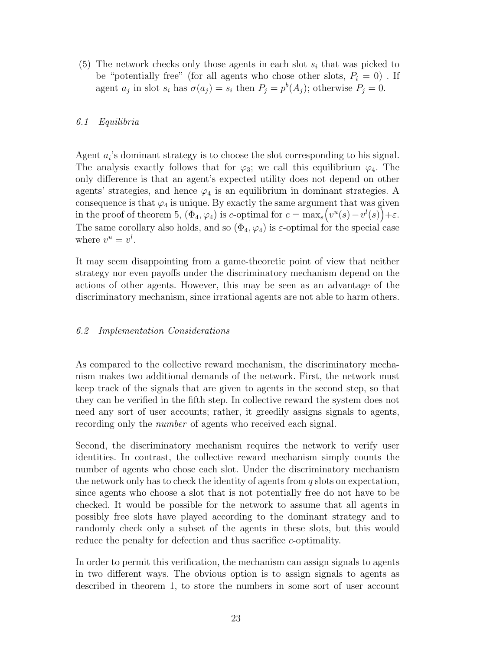(5) The network checks only those agents in each slot  $s_i$  that was picked to be "potentially free" (for all agents who chose other slots,  $P_i = 0$ ). If agent  $a_j$  in slot  $s_i$  has  $\sigma(a_j) = s_i$  then  $P_j = p^b(A_j)$ ; otherwise  $P_j = 0$ .

# *6.1 Equilibria*

Agent  $a_i$ 's dominant strategy is to choose the slot corresponding to his signal. The analysis exactly follows that for  $\varphi_3$ ; we call this equilibrium  $\varphi_4$ . The only difference is that an agent's expected utility does not depend on other agents' strategies, and hence  $\varphi_4$  is an equilibrium in dominant strategies. A consequence is that  $\varphi_4$  is unique. By exactly the same argument that was given in the proof of theorem 5,  $(\Phi_4, \varphi_4)$  is c-optimal for  $c = \max_s (v^u(s) - v^l(s)) + \varepsilon$ . The same corollary also holds, and so  $(\Phi_4, \varphi_4)$  is  $\varepsilon$ -optimal for the special case where  $v^u = v^l$ .

It may seem disappointing from a game-theoretic point of view that neither strategy nor even payoffs under the discriminatory mechanism depend on the actions of other agents. However, this may be seen as an advantage of the discriminatory mechanism, since irrational agents are not able to harm others.

# *6.2 Implementation Considerations*

As compared to the collective reward mechanism, the discriminatory mechanism makes two additional demands of the network. First, the network must keep track of the signals that are given to agents in the second step, so that they can be verified in the fifth step. In collective reward the system does not need any sort of user accounts; rather, it greedily assigns signals to agents, recording only the *number* of agents who received each signal.

Second, the discriminatory mechanism requires the network to verify user identities. In contrast, the collective reward mechanism simply counts the number of agents who chose each slot. Under the discriminatory mechanism the network only has to check the identity of agents from  $q$  slots on expectation, since agents who choose a slot that is not potentially free do not have to be checked. It would be possible for the network to assume that all agents in possibly free slots have played according to the dominant strategy and to randomly check only a subset of the agents in these slots, but this would reduce the penalty for defection and thus sacrifice c-optimality.

In order to permit this verification, the mechanism can assign signals to agents in two different ways. The obvious option is to assign signals to agents as described in theorem 1, to store the numbers in some sort of user account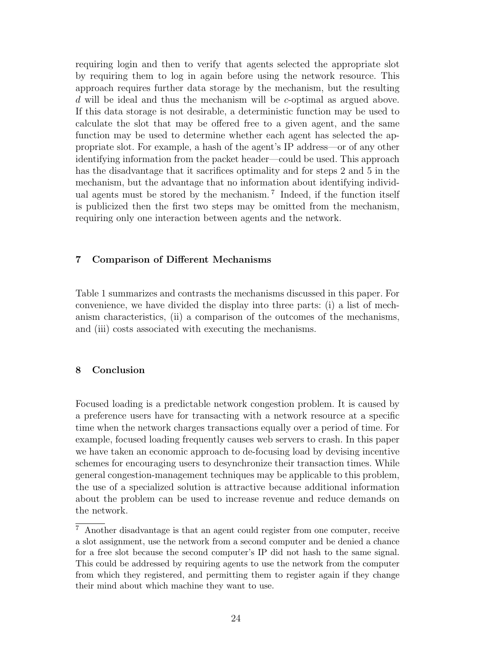requiring login and then to verify that agents selected the appropriate slot by requiring them to log in again before using the network resource. This approach requires further data storage by the mechanism, but the resulting d will be ideal and thus the mechanism will be c-optimal as argued above. If this data storage is not desirable, a deterministic function may be used to calculate the slot that may be offered free to a given agent, and the same function may be used to determine whether each agent has selected the appropriate slot. For example, a hash of the agent's IP address—or of any other identifying information from the packet header—could be used. This approach has the disadvantage that it sacrifices optimality and for steps 2 and 5 in the mechanism, but the advantage that no information about identifying individual agents must be stored by the mechanism.<sup>7</sup> Indeed, if the function itself is publicized then the first two steps may be omitted from the mechanism, requiring only one interaction between agents and the network.

## **7 Comparison of Different Mechanisms**

Table 1 summarizes and contrasts the mechanisms discussed in this paper. For convenience, we have divided the display into three parts: (i) a list of mechanism characteristics, (ii) a comparison of the outcomes of the mechanisms, and (iii) costs associated with executing the mechanisms.

# **8 Conclusion**

Focused loading is a predictable network congestion problem. It is caused by a preference users have for transacting with a network resource at a specific time when the network charges transactions equally over a period of time. For example, focused loading frequently causes web servers to crash. In this paper we have taken an economic approach to de-focusing load by devising incentive schemes for encouraging users to desynchronize their transaction times. While general congestion-management techniques may be applicable to this problem, the use of a specialized solution is attractive because additional information about the problem can be used to increase revenue and reduce demands on the network.

<sup>7</sup> Another disadvantage is that an agent could register from one computer, receive a slot assignment, use the network from a second computer and be denied a chance for a free slot because the second computer's IP did not hash to the same signal. This could be addressed by requiring agents to use the network from the computer from which they registered, and permitting them to register again if they change their mind about which machine they want to use.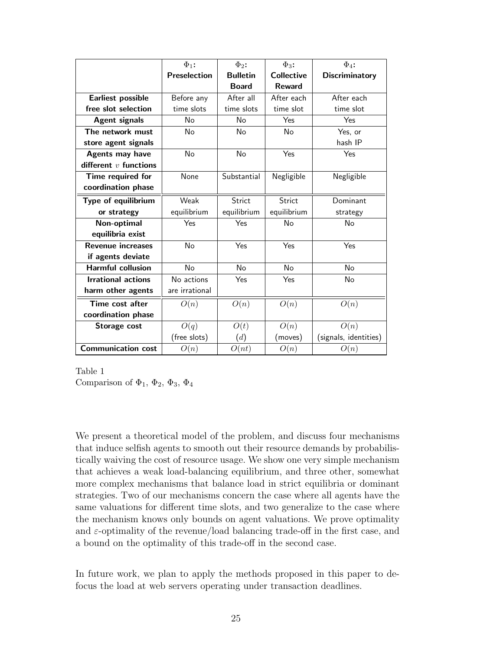|                           | $\Phi_1$ :          | $\Phi_2$ :      | $\Phi_3$ :        | $\Phi_4$ :            |
|---------------------------|---------------------|-----------------|-------------------|-----------------------|
|                           | <b>Preselection</b> | <b>Bulletin</b> | <b>Collective</b> | <b>Discriminatory</b> |
|                           |                     | <b>Board</b>    | <b>Reward</b>     |                       |
| Earliest possible         | Before any          | After all       | After each        | After each            |
| free slot selection       | time slots          | time slots      | time slot         | time slot             |
| <b>Agent signals</b>      | No                  | No              | Yes               | Yes                   |
| The network must          | <b>No</b>           | <b>No</b>       | <b>No</b>         | Yes, or               |
| store agent signals       |                     |                 |                   | hash IP               |
| <b>Agents may have</b>    | No                  | <b>No</b>       | Yes               | Yes                   |
| different $v$ functions   |                     |                 |                   |                       |
| Time required for         | None                | Substantial     | Negligible        | Negligible            |
| coordination phase        |                     |                 |                   |                       |
| Type of equilibrium       | Weak                | Strict          | Strict            | Dominant              |
| or strategy               | equilibrium         | equilibrium     | equilibrium       | strategy              |
| Non-optimal               | Yes                 | Yes             | <b>No</b>         | <b>No</b>             |
| equilibria exist          |                     |                 |                   |                       |
| <b>Revenue increases</b>  | No                  | Yes             | Yes               | Yes                   |
| if agents deviate         |                     |                 |                   |                       |
| <b>Harmful collusion</b>  | No                  | No              | N <sub>o</sub>    | No                    |
| <b>Irrational actions</b> | No actions          | Yes             | Yes               | No                    |
| harm other agents         | are irrational      |                 |                   |                       |
| Time cost after           | O(n)                | O(n)            | O(n)              | O(n)                  |
| coordination phase        |                     |                 |                   |                       |
| Storage cost              | O(q)                | O(t)            | O(n)              | O(n)                  |
|                           | (free slots)        | (d)             | moves)            | (signals, identities) |
| <b>Communication cost</b> | O(n)                | O(nt)           | O(n)              | O(n)                  |

Table 1 Comparison of  $\Phi_1$ ,  $\Phi_2$ ,  $\Phi_3$ ,  $\Phi_4$ 

We present a theoretical model of the problem, and discuss four mechanisms that induce selfish agents to smooth out their resource demands by probabilistically waiving the cost of resource usage. We show one very simple mechanism that achieves a weak load-balancing equilibrium, and three other, somewhat more complex mechanisms that balance load in strict equilibria or dominant strategies. Two of our mechanisms concern the case where all agents have the same valuations for different time slots, and two generalize to the case where the mechanism knows only bounds on agent valuations. We prove optimality and  $\varepsilon$ -optimality of the revenue/load balancing trade-off in the first case, and a bound on the optimality of this trade-off in the second case.

In future work, we plan to apply the methods proposed in this paper to defocus the load at web servers operating under transaction deadlines.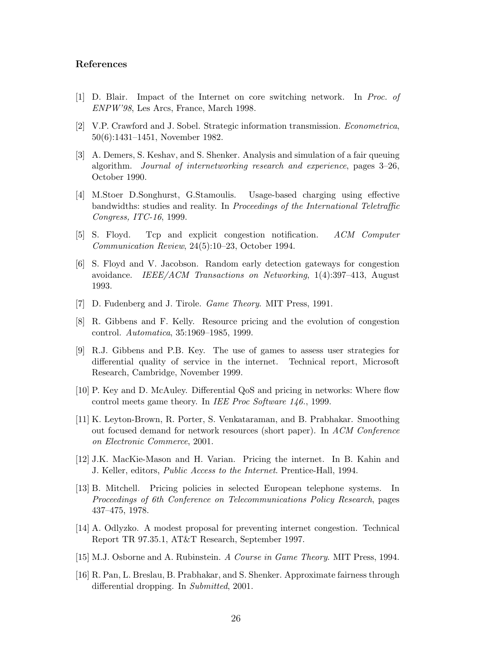#### **References**

- [1] D. Blair. Impact of the Internet on core switching network. In *Proc. of ENPW'98*, Les Arcs, France, March 1998.
- [2] V.P. Crawford and J. Sobel. Strategic information transmission. *Econometrica*, 50(6):1431–1451, November 1982.
- [3] A. Demers, S. Keshav, and S. Shenker. Analysis and simulation of a fair queuing algorithm. *Journal of internetworking research and experience*, pages 3–26, October 1990.
- [4] M.Stoer D.Songhurst, G.Stamoulis. Usage-based charging using effective bandwidths: studies and reality. In *Proceedings of the International Teletraffic Congress, ITC-16*, 1999.
- [5] S. Floyd. Tcp and explicit congestion notification. *ACM Computer Communication Review*, 24(5):10–23, October 1994.
- [6] S. Floyd and V. Jacobson. Random early detection gateways for congestion avoidance. *IEEE/ACM Transactions on Networking*, 1(4):397–413, August 1993.
- [7] D. Fudenberg and J. Tirole. *Game Theory*. MIT Press, 1991.
- [8] R. Gibbens and F. Kelly. Resource pricing and the evolution of congestion control. *Automatica*, 35:1969–1985, 1999.
- [9] R.J. Gibbens and P.B. Key. The use of games to assess user strategies for differential quality of service in the internet. Technical report, Microsoft Research, Cambridge, November 1999.
- [10] P. Key and D. McAuley. Differential QoS and pricing in networks: Where flow control meets game theory. In *IEE Proc Software 146.*, 1999.
- [11] K. Leyton-Brown, R. Porter, S. Venkataraman, and B. Prabhakar. Smoothing out focused demand for network resources (short paper). In *ACM Conference on Electronic Commerce*, 2001.
- [12] J.K. MacKie-Mason and H. Varian. Pricing the internet. In B. Kahin and J. Keller, editors, *Public Access to the Internet*. Prentice-Hall, 1994.
- [13] B. Mitchell. Pricing policies in selected European telephone systems. In *Proceedings of 6th Conference on Telecommunications Policy Research*, pages 437–475, 1978.
- [14] A. Odlyzko. A modest proposal for preventing internet congestion. Technical Report TR 97.35.1, AT&T Research, September 1997.
- [15] M.J. Osborne and A. Rubinstein. *A Course in Game Theory*. MIT Press, 1994.
- [16] R. Pan, L. Breslau, B. Prabhakar, and S. Shenker. Approximate fairness through differential dropping. In *Submitted*, 2001.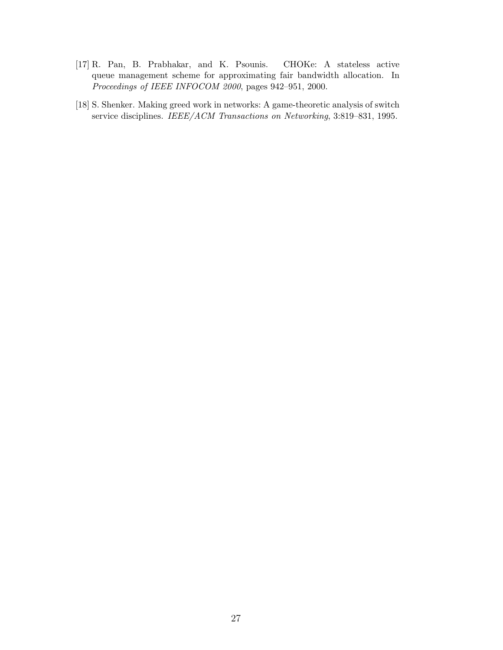- [17] R. Pan, B. Prabhakar, and K. Psounis. CHOKe: A stateless active queue management scheme for approximating fair bandwidth allocation. In *Proceedings of IEEE INFOCOM 2000*, pages 942–951, 2000.
- [18] S. Shenker. Making greed work in networks: A game-theoretic analysis of switch service disciplines. *IEEE/ACM Transactions on Networking*, 3:819–831, 1995.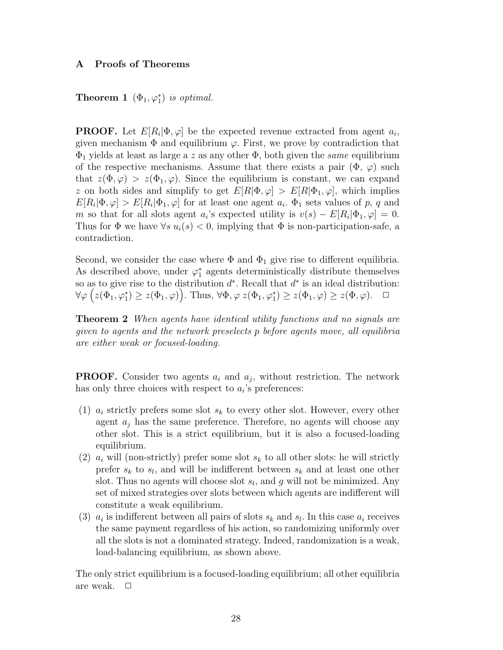## **A Proofs of Theorems**

**Theorem 1**  $(\Phi_1, \varphi_1^*)$  *is optimal.* 

**PROOF.** Let  $E[R_i|\Phi,\varphi]$  be the expected revenue extracted from agent  $a_i$ , given mechanism  $\Phi$  and equilibrium  $\varphi$ . First, we prove by contradiction that Φ<sup>1</sup> yields at least as large a z as any other Φ, both given the *same* equilibrium of the respective mechanisms. Assume that there exists a pair  $(\Phi, \varphi)$  such that  $z(\Phi, \varphi) > z(\Phi_1, \varphi)$ . Since the equilibrium is constant, we can expand z on both sides and simplify to get  $E[R|\Phi,\varphi] > E[R|\Phi_1,\varphi]$ , which implies  $E[R_i|\Phi,\varphi] > E[R_i|\Phi_1,\varphi]$  for at least one agent  $a_i$ .  $\Phi_1$  sets values of p, q and m so that for all slots agent  $a_i$ 's expected utility is  $v(s) - E[R_i] \Phi_1, \varphi] = 0.$ Thus for  $\Phi$  we have  $\forall s u_i(s) < 0$ , implying that  $\Phi$  is non-participation-safe, a contradiction.

Second, we consider the case where  $\Phi$  and  $\Phi_1$  give rise to different equilibria. As described above, under  $\varphi_1^*$  agents deterministically distribute themselves so as to give rise to the distribution  $d^*$ . Recall that  $d^*$  is an ideal distribution:  $\forall \varphi \left( z(\Phi_1, \varphi_1^*) \geq z(\Phi_1, \varphi) \right)$ . Thus,  $\forall \Phi, \varphi \ z(\Phi_1, \varphi_1^*) \geq z(\Phi_1, \varphi) \geq z(\Phi, \varphi)$ .  $\Box$ 

**Theorem 2** *When agents have identical utility functions and no signals are given to agents and the network preselects* p *before agents move, all equilibria are either weak or focused-loading.*

**PROOF.** Consider two agents  $a_i$  and  $a_j$ , without restriction. The network has only three choices with respect to  $a_i$ 's preferences:

- (1)  $a_i$  strictly prefers some slot  $s_k$  to every other slot. However, every other agent  $a_j$  has the same preference. Therefore, no agents will choose any other slot. This is a strict equilibrium, but it is also a focused-loading equilibrium.
- (2)  $a_i$  will (non-strictly) prefer some slot  $s_k$  to all other slots: he will strictly prefer  $s_k$  to  $s_l$ , and will be indifferent between  $s_k$  and at least one other slot. Thus no agents will choose slot  $s_l$ , and g will not be minimized. Any set of mixed strategies over slots between which agents are indifferent will constitute a weak equilibrium.
- (3)  $a_i$  is indifferent between all pairs of slots  $s_k$  and  $s_l$ . In this case  $a_i$  receives the same payment regardless of his action, so randomizing uniformly over all the slots is not a dominated strategy. Indeed, randomization is a weak, load-balancing equilibrium, as shown above.

The only strict equilibrium is a focused-loading equilibrium; all other equilibria are weak.  $\Box$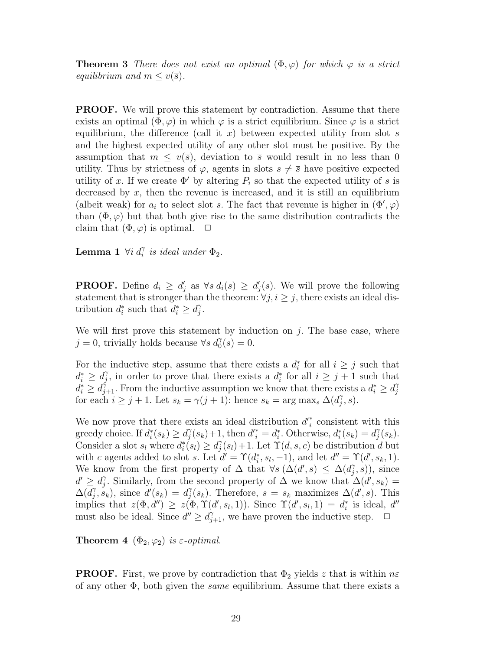**Theorem 3** *There does not exist an optimal*  $(\Phi, \varphi)$  *for which*  $\varphi$  *is a strict equilibrium and*  $m \le v(\overline{s})$ *.* 

**PROOF.** We will prove this statement by contradiction. Assume that there exists an optimal  $(\Phi, \varphi)$  in which  $\varphi$  is a strict equilibrium. Since  $\varphi$  is a strict equilibrium, the difference (call it  $x$ ) between expected utility from slot  $s$ and the highest expected utility of any other slot must be positive. By the assumption that  $m \le v(\overline{s})$ , deviation to  $\overline{s}$  would result in no less than 0 utility. Thus by strictness of  $\varphi$ , agents in slots  $s \neq \overline{s}$  have positive expected utility of x. If we create  $\Phi'$  by altering  $P_i$  so that the expected utility of s is decreased by  $x$ , then the revenue is increased, and it is still an equilibrium (albeit weak) for  $a_i$  to select slot s. The fact that revenue is higher in  $(\Phi', \varphi)$ than  $(\Phi, \varphi)$  but that both give rise to the same distribution contradicts the claim that  $(\Phi, \varphi)$  is optimal.  $\Box$ 

**Lemma 1**  $\forall i \ d_i^{\gamma}$  *is ideal under*  $\Phi_2$ *.* 

**PROOF.** Define  $d_i \geq d'_j$  as  $\forall s \ d_i(s) \geq d'_j(s)$ . We will prove the following statement that is stronger than the theorem:  $\forall j, i \geq j$ , there exists an ideal distribution  $d_i^*$  such that  $d_i^* \geq d_j^{\gamma}$ .

We will first prove this statement by induction on  $j$ . The base case, where  $j = 0$ , trivially holds because  $\forall s \, d_0^{\gamma}(s) = 0$ .

For the inductive step, assume that there exists a  $d_i^*$  for all  $i \geq j$  such that  $d_i^* \geq d_j^{\gamma}$ , in order to prove that there exists a  $d_i^*$  for all  $i \geq j+1$  such that  $d_i^* \geq d_{j+1}^{\gamma}$ . From the inductive assumption we know that there exists a  $d_i^* \geq d_j^{\gamma}$ for each  $i \geq j+1$ . Let  $s_k = \gamma(j+1)$ : hence  $s_k = \arg \max_s \Delta(d_j, s)$ .

We now prove that there exists an ideal distribution  $d_i^*$  consistent with this greedy choice. If  $d_i^*(s_k) \ge d_j^{\gamma}(s_k) + 1$ , then  $d_i^* = d_i^*$ . Otherwise,  $d_i^*(s_k) = d_j^{\gamma}(s_k)$ . Consider a slot  $s_l$  where  $d_i^*(s_l) \geq d_j^{\gamma}(s_l)+1$ . Let  $\Upsilon(d, s, c)$  be distribution d but with c agents added to slot s. Let  $d' = \Upsilon(d_i^*, s_i, -1)$ , and let  $d'' = \Upsilon(d', s_k, 1)$ . We know from the first property of  $\Delta$  that  $\forall s \ (\Delta(d', s) \leq \Delta(d'_j, s))$ , since  $d' \geq d'_{j}$ . Similarly, from the second property of  $\Delta$  we know that  $\Delta(d', s_{k}) =$  $\Delta(d_j^{\gamma}, s_k)$ , since  $d'(s_k) = d_j^{\gamma}(s_k)$ . Therefore,  $s = s_k$  maximizes  $\Delta(d', s)$ . This implies that  $z(\Phi, d'') \geq z(\Phi, \Upsilon(d', s_l, 1))$ . Since  $\Upsilon(d', s_l, 1) = d_i^*$  is ideal,  $d''$ must also be ideal. Since  $d'' \geq d_{j+1}^{\gamma}$ , we have proven the inductive step.  $\Box$ 

**Theorem 4**  $(\Phi_2, \varphi_2)$  *is*  $\varepsilon$ -*optimal.* 

**PROOF.** First, we prove by contradiction that  $\Phi_2$  yields z that is within  $n\epsilon$ of any other Φ, both given the *same* equilibrium. Assume that there exists a